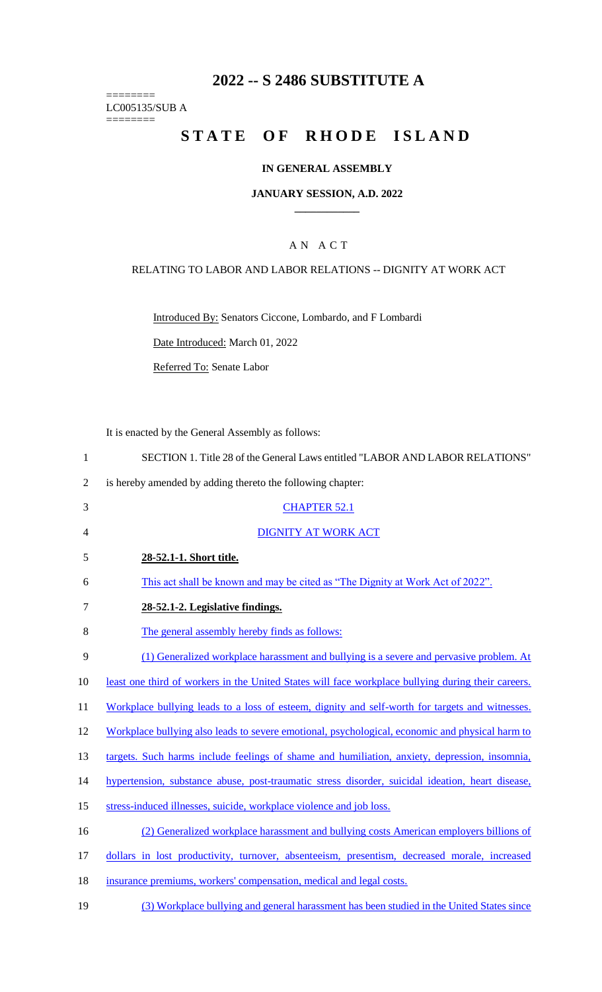# **2022 -- S 2486 SUBSTITUTE A**

LC005135/SUB A

========

========

# **STATE OF RHODE ISLAND**

### **IN GENERAL ASSEMBLY**

#### **JANUARY SESSION, A.D. 2022 \_\_\_\_\_\_\_\_\_\_\_\_**

### A N A C T

#### RELATING TO LABOR AND LABOR RELATIONS -- DIGNITY AT WORK ACT

Introduced By: Senators Ciccone, Lombardo, and F Lombardi

Date Introduced: March 01, 2022

Referred To: Senate Labor

It is enacted by the General Assembly as follows:

| $\mathbf{1}$   | SECTION 1. Title 28 of the General Laws entitled "LABOR AND LABOR RELATIONS"                       |
|----------------|----------------------------------------------------------------------------------------------------|
| $\overline{2}$ | is hereby amended by adding thereto the following chapter:                                         |
| 3              | <b>CHAPTER 52.1</b>                                                                                |
| $\overline{4}$ | <b>DIGNITY AT WORK ACT</b>                                                                         |
| 5              | 28-52.1-1. Short title.                                                                            |
| 6              | This act shall be known and may be cited as "The Dignity at Work Act of 2022".                     |
| $\tau$         | 28-52.1-2. Legislative findings.                                                                   |
| 8              | The general assembly hereby finds as follows:                                                      |
| 9              | (1) Generalized workplace harassment and bullying is a severe and pervasive problem. At            |
| 10             | least one third of workers in the United States will face workplace bullying during their careers. |
| 11             | Workplace bullying leads to a loss of esteem, dignity and self-worth for targets and witnesses.    |
| 12             | Workplace bullying also leads to severe emotional, psychological, economic and physical harm to    |
| 13             | targets. Such harms include feelings of shame and humiliation, anxiety, depression, insomnia,      |
| 14             | hypertension, substance abuse, post-traumatic stress disorder, suicidal ideation, heart disease,   |
| 15             | stress-induced illnesses, suicide, workplace violence and job loss.                                |
| 16             | (2) Generalized workplace harassment and bullying costs American employers billions of             |
| 17             | dollars in lost productivity, turnover, absenteeism, presentism, decreased morale, increased       |
| 18             | insurance premiums, workers' compensation, medical and legal costs.                                |
| 19             | (3) Workplace bullying and general harassment has been studied in the United States since          |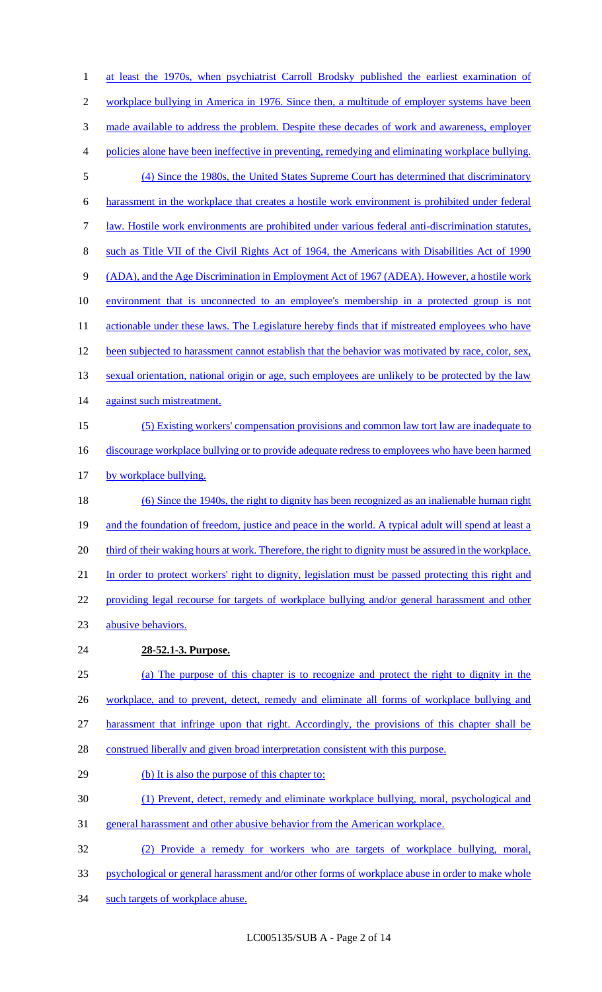1 at least the 1970s, when psychiatrist Carroll Brodsky published the earliest examination of 2 workplace bullying in America in 1976. Since then, a multitude of employer systems have been 3 made available to address the problem. Despite these decades of work and awareness, employer policies alone have been ineffective in preventing, remedying and eliminating workplace bullying. (4) Since the 1980s, the United States Supreme Court has determined that discriminatory harassment in the workplace that creates a hostile work environment is prohibited under federal law. Hostile work environments are prohibited under various federal anti-discrimination statutes, such as Title VII of the Civil Rights Act of 1964, the Americans with Disabilities Act of 1990 (ADA), and the Age Discrimination in Employment Act of 1967 (ADEA). However, a hostile work environment that is unconnected to an employee's membership in a protected group is not 11 actionable under these laws. The Legislature hereby finds that if mistreated employees who have been subjected to harassment cannot establish that the behavior was motivated by race, color, sex, 13 sexual orientation, national origin or age, such employees are unlikely to be protected by the law 14 against such mistreatment. (5) Existing workers' compensation provisions and common law tort law are inadequate to 16 discourage workplace bullying or to provide adequate redress to employees who have been harmed 17 by workplace bullying. (6) Since the 1940s, the right to dignity has been recognized as an inalienable human right 19 and the foundation of freedom, justice and peace in the world. A typical adult will spend at least a 20 third of their waking hours at work. Therefore, the right to dignity must be assured in the workplace. In order to protect workers' right to dignity, legislation must be passed protecting this right and providing legal recourse for targets of workplace bullying and/or general harassment and other abusive behaviors. **28-52.1-3. Purpose.**  (a) The purpose of this chapter is to recognize and protect the right to dignity in the 26 workplace, and to prevent, detect, remedy and eliminate all forms of workplace bullying and harassment that infringe upon that right. Accordingly, the provisions of this chapter shall be construed liberally and given broad interpretation consistent with this purpose. 29 (b) It is also the purpose of this chapter to: (1) Prevent, detect, remedy and eliminate workplace bullying, moral, psychological and general harassment and other abusive behavior from the American workplace. (2) Provide a remedy for workers who are targets of workplace bullying, moral, psychological or general harassment and/or other forms of workplace abuse in order to make whole such targets of workplace abuse.

LC005135/SUB A - Page 2 of 14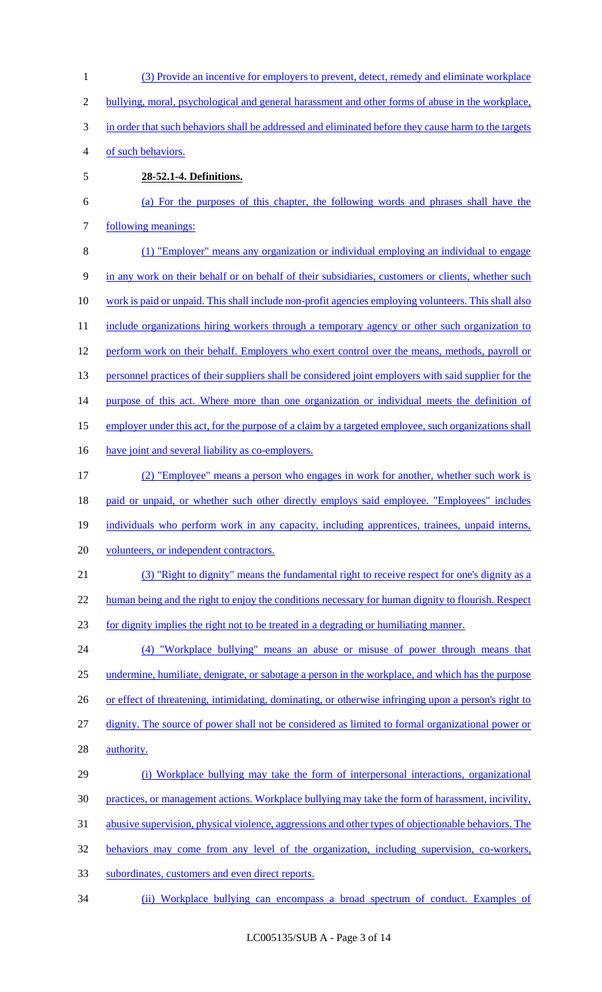(3) Provide an incentive for employers to prevent, detect, remedy and eliminate workplace bullying, moral, psychological and general harassment and other forms of abuse in the workplace, in order that such behaviors shall be addressed and eliminated before they cause harm to the targets of such behaviors. **28-52.1-4. Definitions.**  (a) For the purposes of this chapter, the following words and phrases shall have the following meanings: (1) "Employer" means any organization or individual employing an individual to engage in any work on their behalf or on behalf of their subsidiaries, customers or clients, whether such work is paid or unpaid. This shall include non-profit agencies employing volunteers. This shall also 11 include organizations hiring workers through a temporary agency or other such organization to 12 perform work on their behalf. Employers who exert control over the means, methods, payroll or 13 personnel practices of their suppliers shall be considered joint employers with said supplier for the 14 purpose of this act. Where more than one organization or individual meets the definition of employer under this act, for the purpose of a claim by a targeted employee, such organizations shall 16 have joint and several liability as co-employers. (2) "Employee" means a person who engages in work for another, whether such work is 18 paid or unpaid, or whether such other directly employs said employee. "Employees" includes individuals who perform work in any capacity, including apprentices, trainees, unpaid interns, volunteers, or independent contractors. (3) "Right to dignity" means the fundamental right to receive respect for one's dignity as a 22 human being and the right to enjoy the conditions necessary for human dignity to flourish. Respect for dignity implies the right not to be treated in a degrading or humiliating manner. (4) "Workplace bullying" means an abuse or misuse of power through means that undermine, humiliate, denigrate, or sabotage a person in the workplace, and which has the purpose 26 or effect of threatening, intimidating, dominating, or otherwise infringing upon a person's right to dignity. The source of power shall not be considered as limited to formal organizational power or **authority**. (i) Workplace bullying may take the form of interpersonal interactions, organizational practices, or management actions. Workplace bullying may take the form of harassment, incivility, abusive supervision, physical violence, aggressions and other types of objectionable behaviors. The behaviors may come from any level of the organization, including supervision, co-workers, subordinates, customers and even direct reports. (ii) Workplace bullying can encompass a broad spectrum of conduct. Examples of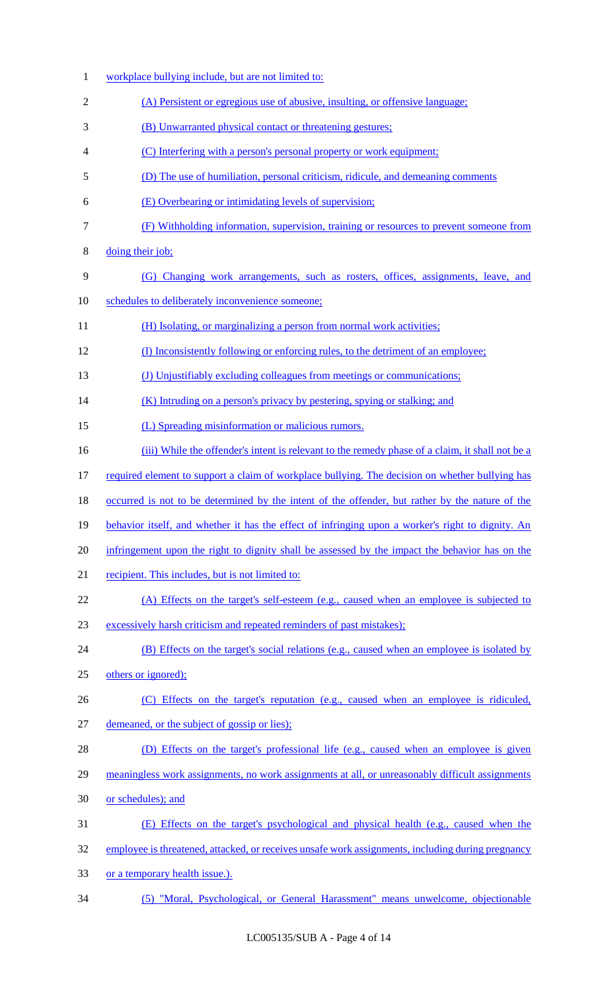| $\mathbf{1}$   | workplace bullying include, but are not limited to:                                               |
|----------------|---------------------------------------------------------------------------------------------------|
| $\overline{2}$ | (A) Persistent or egregious use of abusive, insulting, or offensive language;                     |
| 3              | (B) Unwarranted physical contact or threatening gestures;                                         |
| 4              | (C) Interfering with a person's personal property or work equipment;                              |
| 5              | (D) The use of humiliation, personal criticism, ridicule, and demeaning comments                  |
| 6              | (E) Overbearing or intimidating levels of supervision;                                            |
| $\tau$         | (F) Withholding information, supervision, training or resources to prevent someone from           |
| $8\,$          | doing their job;                                                                                  |
| 9              | (G) Changing work arrangements, such as rosters, offices, assignments, leave, and                 |
| 10             | schedules to deliberately inconvenience someone;                                                  |
| 11             | (H) Isolating, or marginalizing a person from normal work activities;                             |
| 12             | (I) Inconsistently following or enforcing rules, to the detriment of an employee;                 |
| 13             | (J) Unjustifiably excluding colleagues from meetings or communications;                           |
| 14             | (K) Intruding on a person's privacy by pestering, spying or stalking; and                         |
| 15             | (L) Spreading misinformation or malicious rumors.                                                 |
| 16             | (iii) While the offender's intent is relevant to the remedy phase of a claim, it shall not be a   |
| 17             | required element to support a claim of workplace bullying. The decision on whether bullying has   |
| 18             | occurred is not to be determined by the intent of the offender, but rather by the nature of the   |
| 19             | behavior itself, and whether it has the effect of infringing upon a worker's right to dignity. An |
| 20             | infringement upon the right to dignity shall be assessed by the impact the behavior has on the    |
| 21             | recipient. This includes, but is not limited to:                                                  |
| 22             | (A) Effects on the target's self-esteem (e.g., caused when an employee is subjected to            |
| 23             | excessively harsh criticism and repeated reminders of past mistakes);                             |
| 24             | (B) Effects on the target's social relations (e.g., caused when an employee is isolated by        |
| 25             | others or ignored);                                                                               |
| 26             | (C) Effects on the target's reputation (e.g., caused when an employee is ridiculed,               |
| 27             | demeaned, or the subject of gossip or lies);                                                      |
| 28             | (D) Effects on the target's professional life (e.g., caused when an employee is given             |
| 29             | meaningless work assignments, no work assignments at all, or unreasonably difficult assignments   |
| 30             | or schedules); and                                                                                |
| 31             | (E) Effects on the target's psychological and physical health (e.g., caused when the              |
| 32             | employee is threatened, attacked, or receives unsafe work assignments, including during pregnancy |
| 33             | or a temporary health issue.).                                                                    |
| 34             | (5) "Moral, Psychological, or General Harassment" means unwelcome, objectionable                  |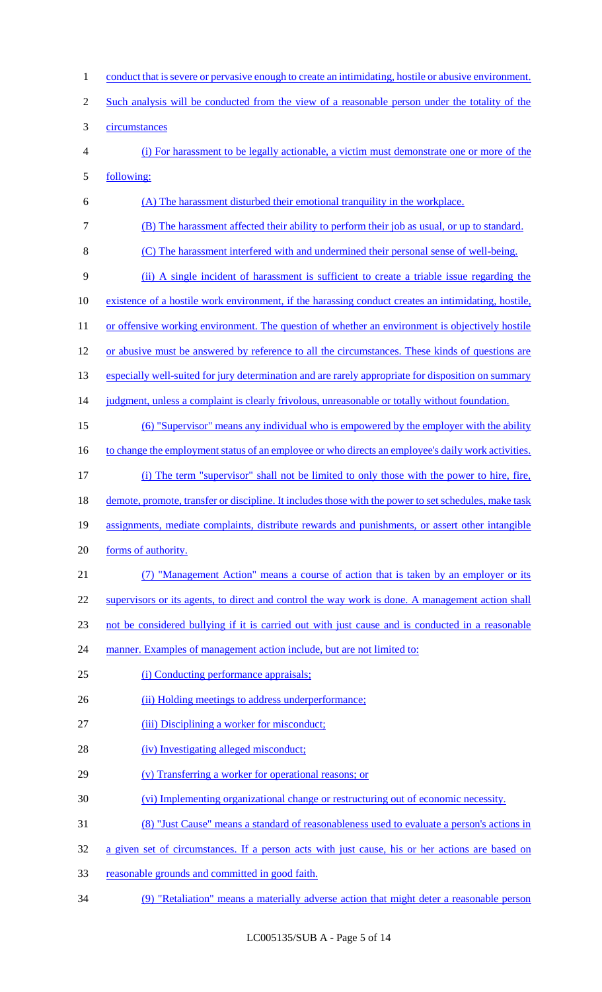| $\mathbf{1}$   | conduct that is severe or pervasive enough to create an intimidating, hostile or abusive environment. |
|----------------|-------------------------------------------------------------------------------------------------------|
| $\overline{2}$ | Such analysis will be conducted from the view of a reasonable person under the totality of the        |
| 3              | circumstances                                                                                         |
| $\overline{4}$ | (i) For harassment to be legally actionable, a victim must demonstrate one or more of the             |
| 5              | following:                                                                                            |
| 6              | (A) The harassment disturbed their emotional tranquility in the workplace.                            |
| $\overline{7}$ | (B) The harassment affected their ability to perform their job as usual, or up to standard.           |
| 8              | (C) The harassment interfered with and undermined their personal sense of well-being.                 |
| 9              | (ii) A single incident of harassment is sufficient to create a triable issue regarding the            |
| 10             | existence of a hostile work environment, if the harassing conduct creates an intimidating, hostile,   |
| 11             | or offensive working environment. The question of whether an environment is objectively hostile       |
| 12             | or abusive must be answered by reference to all the circumstances. These kinds of questions are       |
| 13             | especially well-suited for jury determination and are rarely appropriate for disposition on summary   |
| 14             | judgment, unless a complaint is clearly frivolous, unreasonable or totally without foundation.        |
| 15             | (6) "Supervisor" means any individual who is empowered by the employer with the ability               |
| 16             | to change the employment status of an employee or who directs an employee's daily work activities.    |
| 17             | (i) The term "supervisor" shall not be limited to only those with the power to hire, fire,            |
| 18             | demote, promote, transfer or discipline. It includes those with the power to set schedules, make task |
| 19             | assignments, mediate complaints, distribute rewards and punishments, or assert other intangible       |
| 20             | forms of authority.                                                                                   |
| 21             | (7) "Management Action" means a course of action that is taken by an employer or its                  |
| 22             | supervisors or its agents, to direct and control the way work is done. A management action shall      |
| 23             | not be considered bullying if it is carried out with just cause and is conducted in a reasonable      |
| 24             | manner. Examples of management action include, but are not limited to:                                |
| 25             | (i) Conducting performance appraisals;                                                                |
| 26             | (ii) Holding meetings to address underperformance;                                                    |
| 27             | (iii) Disciplining a worker for misconduct;                                                           |
| 28             | (iv) Investigating alleged misconduct;                                                                |
| 29             | (v) Transferring a worker for operational reasons; or                                                 |
| 30             | (vi) Implementing organizational change or restructuring out of economic necessity.                   |
| 31             | (8) "Just Cause" means a standard of reasonableness used to evaluate a person's actions in            |
| 32             | a given set of circumstances. If a person acts with just cause, his or her actions are based on       |
| 33             | reasonable grounds and committed in good faith.                                                       |
| 34             | (9) "Retaliation" means a materially adverse action that might deter a reasonable person              |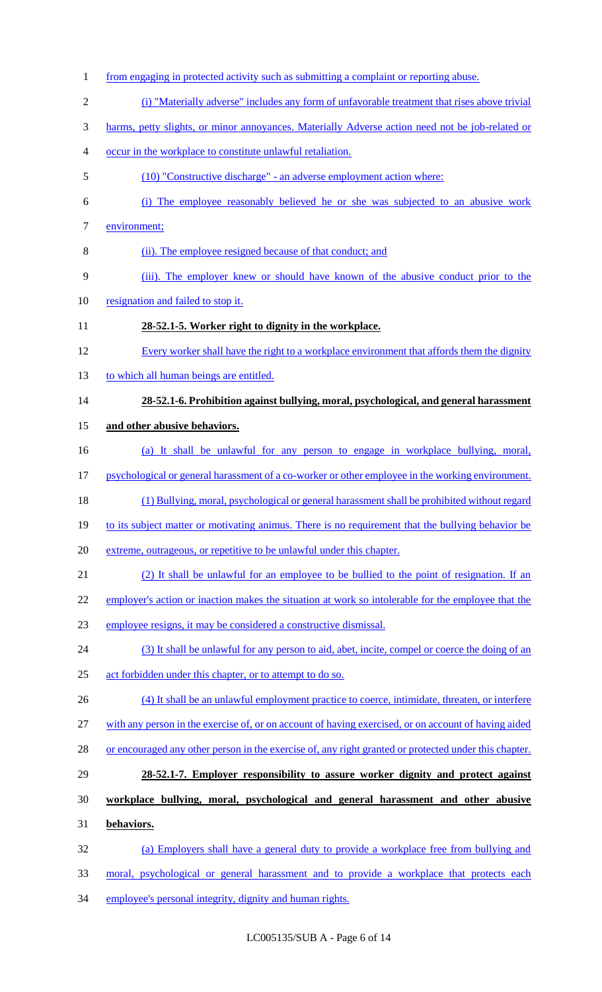1 from engaging in protected activity such as submitting a complaint or reporting abuse. (i) "Materially adverse" includes any form of unfavorable treatment that rises above trivial harms, petty slights, or minor annoyances. Materially Adverse action need not be job-related or occur in the workplace to constitute unlawful retaliation. (10) "Constructive discharge" - an adverse employment action where: (i) The employee reasonably believed he or she was subjected to an abusive work environment; (ii). The employee resigned because of that conduct; and (iii). The employer knew or should have known of the abusive conduct prior to the resignation and failed to stop it. **28-52.1-5. Worker right to dignity in the workplace.**  Every worker shall have the right to a workplace environment that affords them the dignity 13 to which all human beings are entitled. **28-52.1-6. Prohibition against bullying, moral, psychological, and general harassment and other abusive behaviors.**  (a) It shall be unlawful for any person to engage in workplace bullying, moral, 17 psychological or general harassment of a co-worker or other employee in the working environment. (1) Bullying, moral, psychological or general harassment shall be prohibited without regard 19 to its subject matter or motivating animus. There is no requirement that the bullying behavior be extreme, outrageous, or repetitive to be unlawful under this chapter. (2) It shall be unlawful for an employee to be bullied to the point of resignation. If an 22 employer's action or inaction makes the situation at work so intolerable for the employee that the employee resigns, it may be considered a constructive dismissal. (3) It shall be unlawful for any person to aid, abet, incite, compel or coerce the doing of an act forbidden under this chapter, or to attempt to do so. 26 (4) It shall be an unlawful employment practice to coerce, intimidate, threaten, or interfere with any person in the exercise of, or on account of having exercised, or on account of having aided 28 or encouraged any other person in the exercise of, any right granted or protected under this chapter. **28-52.1-7. Employer responsibility to assure worker dignity and protect against workplace bullying, moral, psychological and general harassment and other abusive behaviors.**  (a) Employers shall have a general duty to provide a workplace free from bullying and moral, psychological or general harassment and to provide a workplace that protects each 34 employee's personal integrity, dignity and human rights.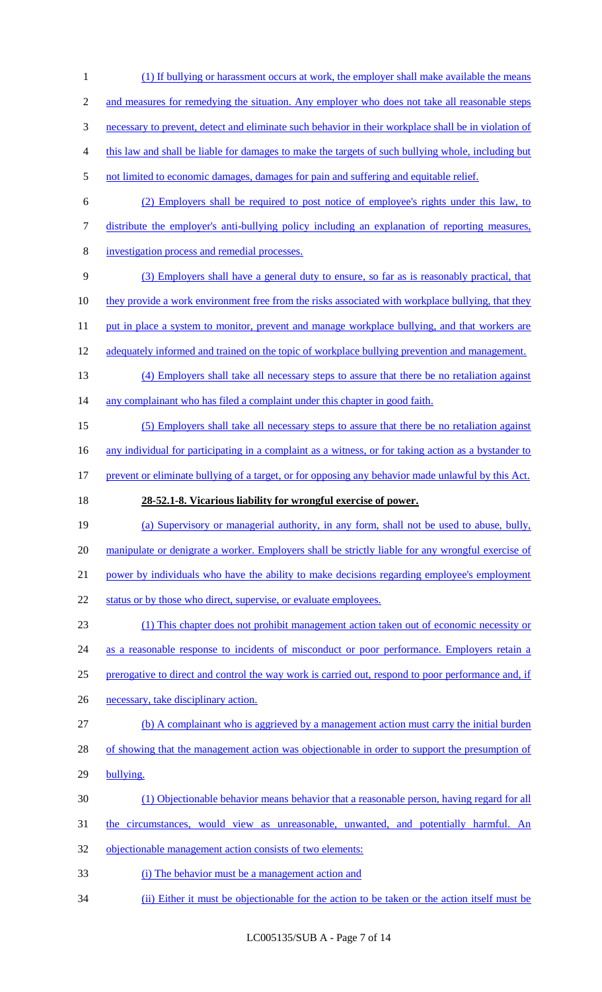(1) If bullying or harassment occurs at work, the employer shall make available the means 2 and measures for remedying the situation. Any employer who does not take all reasonable steps necessary to prevent, detect and eliminate such behavior in their workplace shall be in violation of this law and shall be liable for damages to make the targets of such bullying whole, including but 5 not limited to economic damages, damages for pain and suffering and equitable relief. (2) Employers shall be required to post notice of employee's rights under this law, to

- 7 distribute the employer's anti-bullying policy including an explanation of reporting measures,
- 8 investigation process and remedial processes.
- 9 (3) Employers shall have a general duty to ensure, so far as is reasonably practical, that 10 they provide a work environment free from the risks associated with workplace bullying, that they
- 11 put in place a system to monitor, prevent and manage workplace bullying, and that workers are
- 12 adequately informed and trained on the topic of workplace bullying prevention and management.
- 13 (4) Employers shall take all necessary steps to assure that there be no retaliation against 14 any complainant who has filed a complaint under this chapter in good faith.
- 15 (5) Employers shall take all necessary steps to assure that there be no retaliation against

16 any individual for participating in a complaint as a witness, or for taking action as a bystander to

- 17 prevent or eliminate bullying of a target, or for opposing any behavior made unlawful by this Act.
- 

# 18 **28-52.1-8. Vicarious liability for wrongful exercise of power.**

- 19 (a) Supervisory or managerial authority, in any form, shall not be used to abuse, bully, 20 manipulate or denigrate a worker. Employers shall be strictly liable for any wrongful exercise of 21 power by individuals who have the ability to make decisions regarding employee's employment
- 22 status or by those who direct, supervise, or evaluate employees.

23 (1) This chapter does not prohibit management action taken out of economic necessity or 24 as a reasonable response to incidents of misconduct or poor performance. Employers retain a 25 prerogative to direct and control the way work is carried out, respond to poor performance and, if

- 26 necessary, take disciplinary action.
- 27 (b) A complainant who is aggrieved by a management action must carry the initial burden
- 28 of showing that the management action was objectionable in order to support the presumption of
- 29 bullying.
- 30 (1) Objectionable behavior means behavior that a reasonable person, having regard for all
- 31 the circumstances, would view as unreasonable, unwanted, and potentially harmful. An
- 32 objectionable management action consists of two elements:
- 33 (i) The behavior must be a management action and
- 34 (ii) Either it must be objectionable for the action to be taken or the action itself must be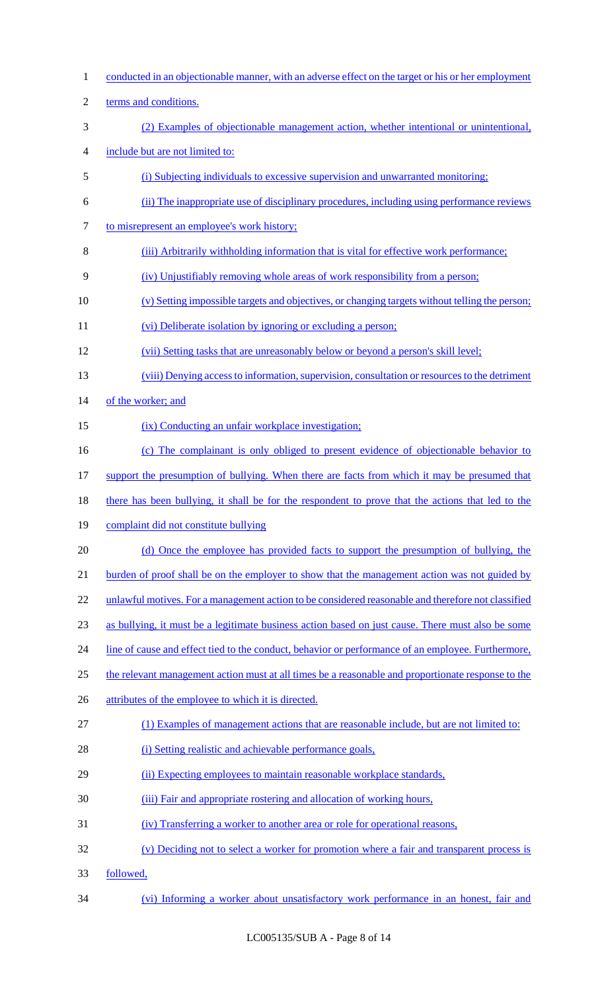1 conducted in an objectionable manner, with an adverse effect on the target or his or her employment 2 terms and conditions. 3 (2) Examples of objectionable management action, whether intentional or unintentional, 4 include but are not limited to: 5 (i) Subjecting individuals to excessive supervision and unwarranted monitoring; 6 (ii) The inappropriate use of disciplinary procedures, including using performance reviews 7 to misrepresent an employee's work history; 8 (iii) Arbitrarily withholding information that is vital for effective work performance; 9 (iv) Unjustifiably removing whole areas of work responsibility from a person; 10 (v) Setting impossible targets and objectives, or changing targets without telling the person; 11 (vi) Deliberate isolation by ignoring or excluding a person; 12 (vii) Setting tasks that are unreasonably below or beyond a person's skill level; 13 (viii) Denying access to information, supervision, consultation or resources to the detriment 14 of the worker; and 15 (ix) Conducting an unfair workplace investigation; 16 (c) The complainant is only obliged to present evidence of objectionable behavior to 17 support the presumption of bullying. When there are facts from which it may be presumed that 18 there has been bullying, it shall be for the respondent to prove that the actions that led to the 19 complaint did not constitute bullying 20 (d) Once the employee has provided facts to support the presumption of bullying, the 21 burden of proof shall be on the employer to show that the management action was not guided by 22 unlawful motives. For a management action to be considered reasonable and therefore not classified 23 as bullying, it must be a legitimate business action based on just cause. There must also be some 24 line of cause and effect tied to the conduct, behavior or performance of an employee. Furthermore, 25 the relevant management action must at all times be a reasonable and proportionate response to the 26 attributes of the employee to which it is directed. 27 (1) Examples of management actions that are reasonable include, but are not limited to: 28 (i) Setting realistic and achievable performance goals, 29 (ii) Expecting employees to maintain reasonable workplace standards, 30 (iii) Fair and appropriate rostering and allocation of working hours, 31 (iv) Transferring a worker to another area or role for operational reasons, 32 (v) Deciding not to select a worker for promotion where a fair and transparent process is 33 followed, 34 (vi) Informing a worker about unsatisfactory work performance in an honest, fair and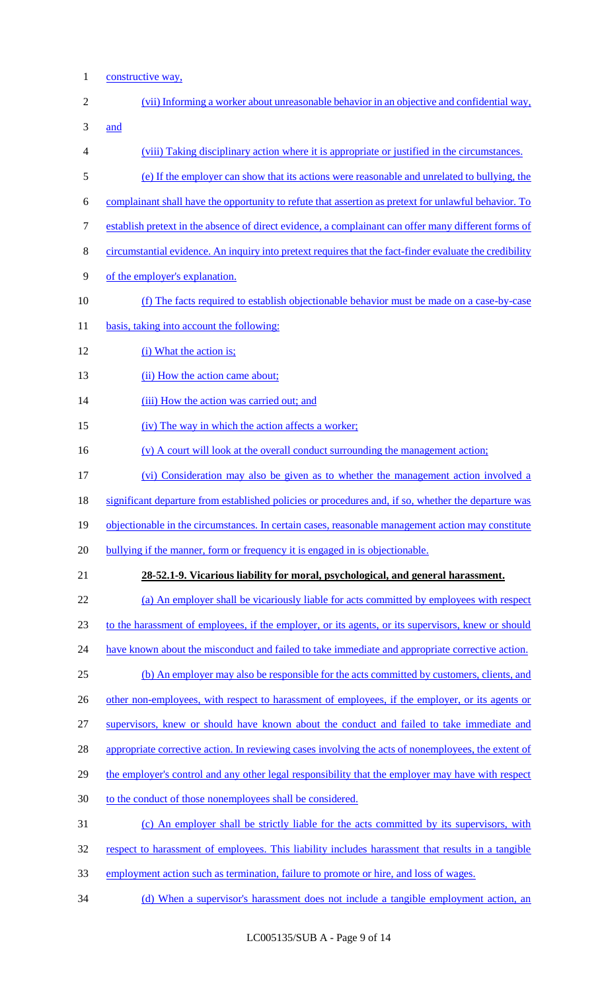1 constructive way,

| $\overline{2}$ | (vii) Informing a worker about unreasonable behavior in an objective and confidential way,              |
|----------------|---------------------------------------------------------------------------------------------------------|
| 3              | and                                                                                                     |
| 4              | (viii) Taking disciplinary action where it is appropriate or justified in the circumstances.            |
| 5              | (e) If the employer can show that its actions were reasonable and unrelated to bullying, the            |
| 6              | complainant shall have the opportunity to refute that assertion as pretext for unlawful behavior. To    |
| $\tau$         | establish pretext in the absence of direct evidence, a complainant can offer many different forms of    |
| $8\,$          | circumstantial evidence. An inquiry into pretext requires that the fact-finder evaluate the credibility |
| 9              | of the employer's explanation.                                                                          |
| 10             | (f) The facts required to establish objectionable behavior must be made on a case-by-case               |
| 11             | basis, taking into account the following:                                                               |
| 12             | (i) What the action is;                                                                                 |
| 13             | (ii) How the action came about;                                                                         |
| 14             | (iii) How the action was carried out; and                                                               |
| 15             | (iv) The way in which the action affects a worker;                                                      |
| 16             | (v) A court will look at the overall conduct surrounding the management action;                         |
| 17             | (vi) Consideration may also be given as to whether the management action involved a                     |
| 18             | significant departure from established policies or procedures and, if so, whether the departure was     |
| 19             | objectionable in the circumstances. In certain cases, reasonable management action may constitute       |
| 20             | bullying if the manner, form or frequency it is engaged in is objectionable.                            |
| 21             | 28-52.1-9. Vicarious liability for moral, psychological, and general harassment.                        |
| 22             | (a) An employer shall be vicariously liable for acts committed by employees with respect                |
| 23             | to the harassment of employees, if the employer, or its agents, or its supervisors, knew or should      |
| 24             | have known about the misconduct and failed to take immediate and appropriate corrective action.         |
| 25             | (b) An employer may also be responsible for the acts committed by customers, clients, and               |
| 26             | other non-employees, with respect to harassment of employees, if the employer, or its agents or         |
| 27             | supervisors, knew or should have known about the conduct and failed to take immediate and               |
| 28             | appropriate corrective action. In reviewing cases involving the acts of nonemployees, the extent of     |
| 29             | the employer's control and any other legal responsibility that the employer may have with respect       |
| 30             | to the conduct of those nonemployees shall be considered.                                               |
| 31             | (c) An employer shall be strictly liable for the acts committed by its supervisors, with                |
| 32             | respect to harassment of employees. This liability includes harassment that results in a tangible       |
| 33             | employment action such as termination, failure to promote or hire, and loss of wages.                   |
| 34             | (d) When a supervisor's harassment does not include a tangible employment action, an                    |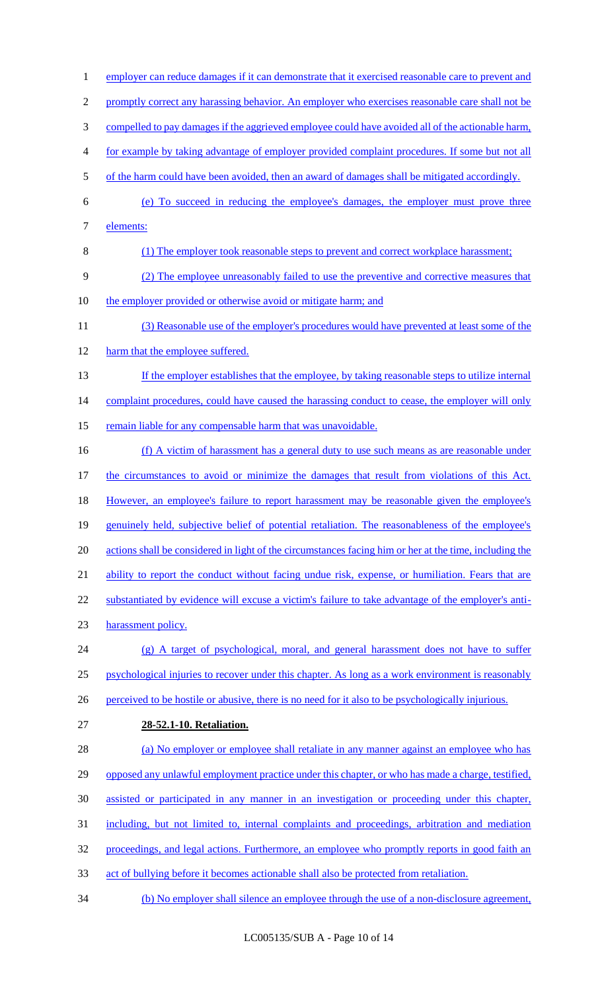1 employer can reduce damages if it can demonstrate that it exercised reasonable care to prevent and 2 promptly correct any harassing behavior. An employer who exercises reasonable care shall not be 3 compelled to pay damages if the aggrieved employee could have avoided all of the actionable harm, 4 for example by taking advantage of employer provided complaint procedures. If some but not all 5 of the harm could have been avoided, then an award of damages shall be mitigated accordingly. 6 (e) To succeed in reducing the employee's damages, the employer must prove three 7 elements: 8 (1) The employer took reasonable steps to prevent and correct workplace harassment; 9 (2) The employee unreasonably failed to use the preventive and corrective measures that 10 the employer provided or otherwise avoid or mitigate harm; and 11 (3) Reasonable use of the employer's procedures would have prevented at least some of the 12 harm that the employee suffered. 13 If the employer establishes that the employee, by taking reasonable steps to utilize internal 14 complaint procedures, could have caused the harassing conduct to cease, the employer will only 15 remain liable for any compensable harm that was unavoidable. 16 (f) A victim of harassment has a general duty to use such means as are reasonable under 17 the circumstances to avoid or minimize the damages that result from violations of this Act. 18 However, an employee's failure to report harassment may be reasonable given the employee's 19 genuinely held, subjective belief of potential retaliation. The reasonableness of the employee's 20 actions shall be considered in light of the circumstances facing him or her at the time, including the 21 ability to report the conduct without facing undue risk, expense, or humiliation. Fears that are 22 substantiated by evidence will excuse a victim's failure to take advantage of the employer's anti-23 harassment policy. 24 (g) A target of psychological, moral, and general harassment does not have to suffer 25 psychological injuries to recover under this chapter. As long as a work environment is reasonably 26 perceived to be hostile or abusive, there is no need for it also to be psychologically injurious. 27 **28-52.1-10. Retaliation.** 28 (a) No employer or employee shall retaliate in any manner against an employee who has 29 opposed any unlawful employment practice under this chapter, or who has made a charge, testified, 30 assisted or participated in any manner in an investigation or proceeding under this chapter, 31 including, but not limited to, internal complaints and proceedings, arbitration and mediation 32 proceedings, and legal actions. Furthermore, an employee who promptly reports in good faith an 33 act of bullying before it becomes actionable shall also be protected from retaliation. 34 (b) No employer shall silence an employee through the use of a non-disclosure agreement,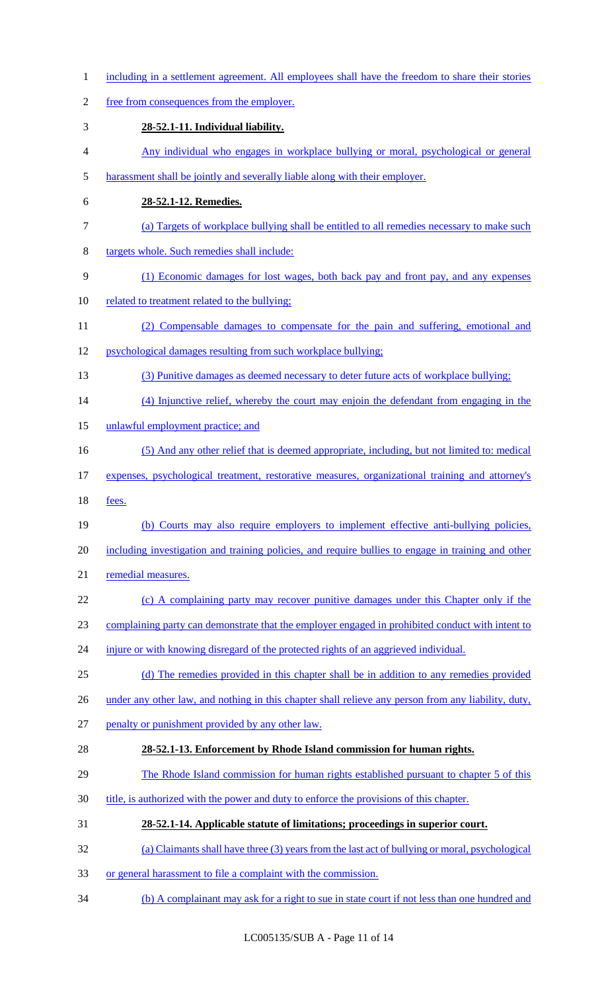- 1 including in a settlement agreement. All employees shall have the freedom to share their stories
- free from consequences from the employer.
- **28-52.1-11. Individual liability.**
- Any individual who engages in workplace bullying or moral, psychological or general
- harassment shall be jointly and severally liable along with their employer.
- **28-52.1-12. Remedies.**
- (a) Targets of workplace bullying shall be entitled to all remedies necessary to make such
- targets whole. Such remedies shall include:
- (1) Economic damages for lost wages, both back pay and front pay, and any expenses
- related to treatment related to the bullying;
- (2) Compensable damages to compensate for the pain and suffering, emotional and
- psychological damages resulting from such workplace bullying;
- (3) Punitive damages as deemed necessary to deter future acts of workplace bullying;
- (4) Injunctive relief, whereby the court may enjoin the defendant from engaging in the
- unlawful employment practice; and
- (5) And any other relief that is deemed appropriate, including, but not limited to: medical
- expenses, psychological treatment, restorative measures, organizational training and attorney's
- fees.
- (b) Courts may also require employers to implement effective anti-bullying policies,
- including investigation and training policies, and require bullies to engage in training and other
- remedial measures.
- 22 (c) A complaining party may recover punitive damages under this Chapter only if the
- complaining party can demonstrate that the employer engaged in prohibited conduct with intent to
- 24 injure or with knowing disregard of the protected rights of an aggrieved individual.
- (d) The remedies provided in this chapter shall be in addition to any remedies provided
- 26 under any other law, and nothing in this chapter shall relieve any person from any liability, duty,
- penalty or punishment provided by any other law.

# **28-52.1-13. Enforcement by Rhode Island commission for human rights.**

- The Rhode Island commission for human rights established pursuant to chapter 5 of this
- 30 title, is authorized with the power and duty to enforce the provisions of this chapter.
- **28-52.1-14. Applicable statute of limitations; proceedings in superior court.**
- (a) Claimants shall have three (3) years from the last act of bullying or moral, psychological
- or general harassment to file a complaint with the commission.
- (b) A complainant may ask for a right to sue in state court if not less than one hundred and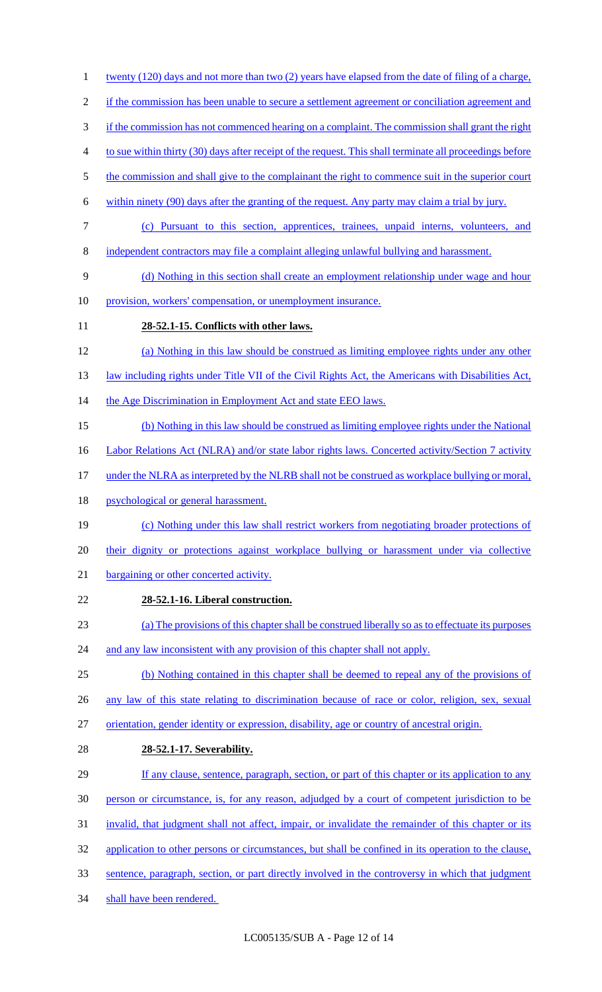1 twenty (120) days and not more than two (2) years have elapsed from the date of filing of a charge, 2 if the commission has been unable to secure a settlement agreement or conciliation agreement and 3 if the commission has not commenced hearing on a complaint. The commission shall grant the right 4 to sue within thirty (30) days after receipt of the request. This shall terminate all proceedings before 5 the commission and shall give to the complainant the right to commence suit in the superior court 6 within ninety (90) days after the granting of the request. Any party may claim a trial by jury. 7 (c) Pursuant to this section, apprentices, trainees, unpaid interns, volunteers, and 8 independent contractors may file a complaint alleging unlawful bullying and harassment. 9 (d) Nothing in this section shall create an employment relationship under wage and hour 10 provision, workers' compensation, or unemployment insurance. 11 **28-52.1-15. Conflicts with other laws.**  12 (a) Nothing in this law should be construed as limiting employee rights under any other 13 law including rights under Title VII of the Civil Rights Act, the Americans with Disabilities Act, 14 the Age Discrimination in Employment Act and state EEO laws. 15 (b) Nothing in this law should be construed as limiting employee rights under the National 16 Labor Relations Act (NLRA) and/or state labor rights laws. Concerted activity/Section 7 activity 17 under the NLRA as interpreted by the NLRB shall not be construed as workplace bullying or moral, 18 psychological or general harassment. 19 (c) Nothing under this law shall restrict workers from negotiating broader protections of 20 their dignity or protections against workplace bullying or harassment under via collective 21 bargaining or other concerted activity. 22 **28-52.1-16. Liberal construction.**  23 (a) The provisions of this chapter shall be construed liberally so as to effectuate its purposes 24 and any law inconsistent with any provision of this chapter shall not apply. 25 (b) Nothing contained in this chapter shall be deemed to repeal any of the provisions of 26 any law of this state relating to discrimination because of race or color, religion, sex, sexual 27 orientation, gender identity or expression, disability, age or country of ancestral origin. 28 **28-52.1-17. Severability.**  29 If any clause, sentence, paragraph, section, or part of this chapter or its application to any 30 person or circumstance, is, for any reason, adjudged by a court of competent jurisdiction to be 31 invalid, that judgment shall not affect, impair, or invalidate the remainder of this chapter or its 32 application to other persons or circumstances, but shall be confined in its operation to the clause, 33 sentence, paragraph, section, or part directly involved in the controversy in which that judgment 34 shall have been rendered.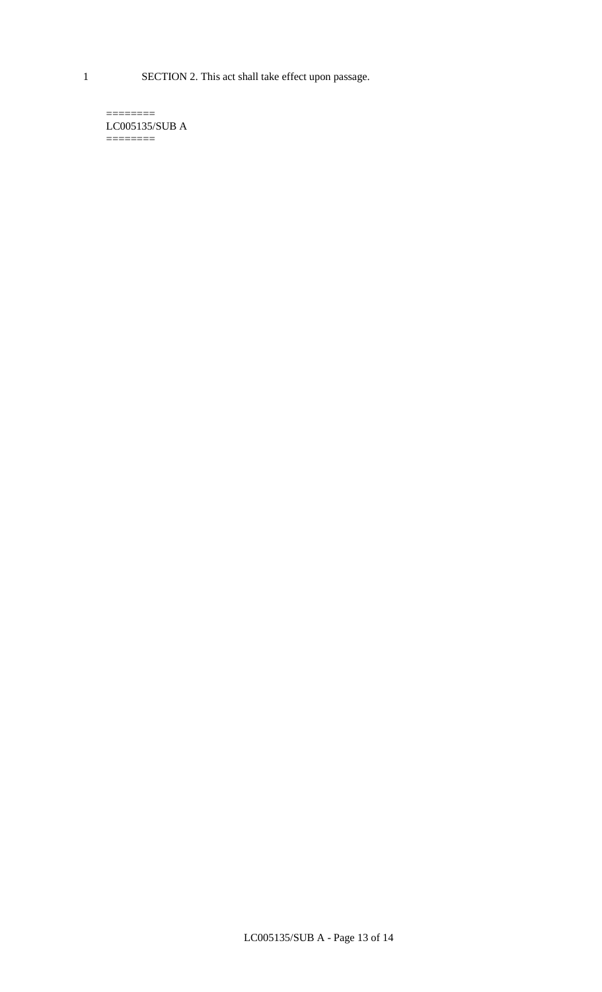1 SECTION 2. This act shall take effect upon passage.

 $=$ LC005135/SUB A  $=$